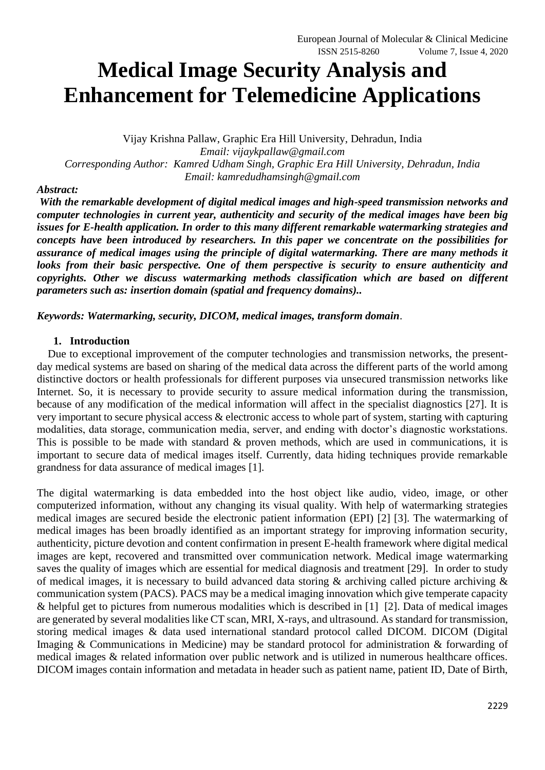# **Medical Image Security Analysis and Enhancement for Telemedicine Applications**

Vijay Krishna Pallaw, Graphic Era Hill University, Dehradun, India *Email: vijaykpallaw@gmail.com Corresponding Author: Kamred Udham Singh, Graphic Era Hill University, Dehradun, India Email: kamredudhamsingh@gmail.com*

#### *Abstract:*

*With the remarkable development of digital medical images and high-speed transmission networks and computer technologies in current year, authenticity and security of the medical images have been big issues for E-health application. In order to this many different remarkable watermarking strategies and concepts have been introduced by researchers. In this paper we concentrate on the possibilities for assurance of medical images using the principle of digital watermarking. There are many methods it looks from their basic perspective. One of them perspective is security to ensure authenticity and copyrights. Other we discuss watermarking methods classification which are based on different parameters such as: insertion domain (spatial and frequency domains)..* 

*Keywords: Watermarking, security, DICOM, medical images, transform domain*.

#### **1. Introduction**

 Due to exceptional improvement of the computer technologies and transmission networks, the presentday medical systems are based on sharing of the medical data across the different parts of the world among distinctive doctors or health professionals for different purposes via unsecured transmission networks like Internet. So, it is necessary to provide security to assure medical information during the transmission, because of any modification of the medical information will affect in the specialist diagnostics [27]. It is very important to secure physical access & electronic access to whole part of system, starting with capturing modalities, data storage, communication media, server, and ending with doctor's diagnostic workstations. This is possible to be made with standard & proven methods, which are used in communications, it is important to secure data of medical images itself. Currently, data hiding techniques provide remarkable grandness for data assurance of medical images [1].

The digital watermarking is data embedded into the host object like audio, video, image, or other computerized information, without any changing its visual quality. With help of watermarking strategies medical images are secured beside the electronic patient information (EPI) [2] [3]. The watermarking of medical images has been broadly identified as an important strategy for improving information security, authenticity, picture devotion and content confirmation in present E-health framework where digital medical images are kept, recovered and transmitted over communication network. Medical image watermarking saves the quality of images which are essential for medical diagnosis and treatment [29]. In order to study of medical images, it is necessary to build advanced data storing  $\&$  archiving called picture archiving  $\&$ communication system (PACS). PACS may be a medical imaging innovation which give temperate capacity & helpful get to pictures from numerous modalities which is described in [1] [2]. Data of medical images are generated by several modalities like CT scan, MRI, X-rays, and ultrasound. As standard for transmission, storing medical images & data used international standard protocol called DICOM. DICOM (Digital Imaging & Communications in Medicine) may be standard protocol for administration & forwarding of medical images & related information over public network and is utilized in numerous healthcare offices. DICOM images contain information and metadata in header such as patient name, patient ID, Date of Birth,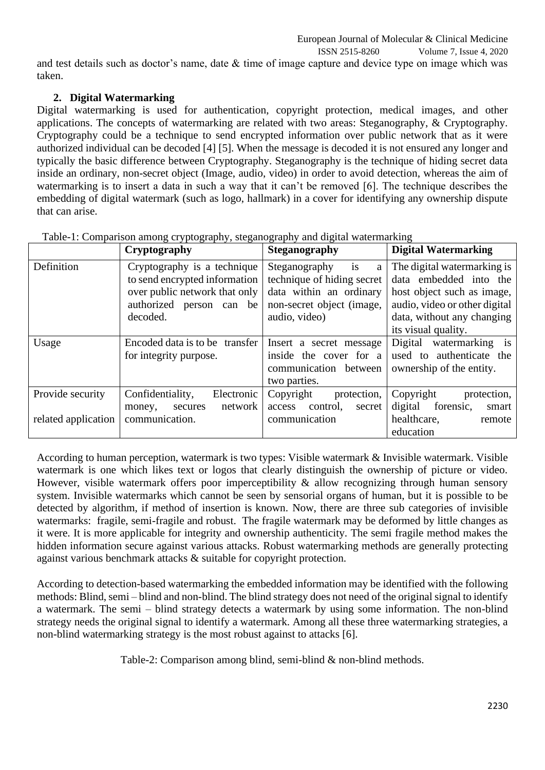and test details such as doctor's name, date & time of image capture and device type on image which was taken.

# **2. Digital Watermarking**

Digital watermarking is used for authentication, copyright protection, medical images, and other applications. The concepts of watermarking are related with two areas: Steganography, & Cryptography. Cryptography could be a technique to send encrypted information over public network that as it were authorized individual can be decoded [4] [5]. When the message is decoded it is not ensured any longer and typically the basic difference between Cryptography. Steganography is the technique of hiding secret data inside an ordinary, non-secret object (Image, audio, video) in order to avoid detection, whereas the aim of watermarking is to insert a data in such a way that it can't be removed [6]. The technique describes the embedding of digital watermark (such as logo, hallmark) in a cover for identifying any ownership dispute that can arise.

|                     | Cryptography                   | <b>Steganography</b>         | <b>Digital Watermarking</b>   |
|---------------------|--------------------------------|------------------------------|-------------------------------|
| Definition          | Cryptography is a technique    | is<br>Steganography<br>a     | The digital watermarking is   |
|                     | to send encrypted information  | technique of hiding secret   | data embedded into the        |
|                     | over public network that only  | data within an ordinary      | host object such as image,    |
|                     | authorized person can be       | non-secret object (image,    | audio, video or other digital |
|                     | decoded.                       | audio, video)                | data, without any changing    |
|                     |                                |                              | its visual quality.           |
| Usage               | Encoded data is to be transfer | Insert a secret message      | watermarking is<br>Digital    |
|                     | for integrity purpose.         | inside the cover for a       | used to authenticate the      |
|                     |                                | communication between        | ownership of the entity.      |
|                     |                                | two parties.                 |                               |
| Provide security    | Confidentiality,<br>Electronic | Copyright<br>protection,     | Copyright<br>protection,      |
|                     | network<br>money,<br>secures   | control,<br>access<br>secret | digital<br>forensic,<br>smart |
| related application | communication.                 | communication                | healthcare,<br>remote         |
|                     |                                |                              | education                     |

Table-1: Comparison among cryptography, steganography and digital watermarking

According to human perception, watermark is two types: Visible watermark & Invisible watermark. Visible watermark is one which likes text or logos that clearly distinguish the ownership of picture or video. However, visible watermark offers poor imperceptibility & allow recognizing through human sensory system. Invisible watermarks which cannot be seen by sensorial organs of human, but it is possible to be detected by algorithm, if method of insertion is known. Now, there are three sub categories of invisible watermarks: fragile, semi-fragile and robust. The fragile watermark may be deformed by little changes as it were. It is more applicable for integrity and ownership authenticity. The semi fragile method makes the hidden information secure against various attacks. Robust watermarking methods are generally protecting against various benchmark attacks & suitable for copyright protection.

According to detection-based watermarking the embedded information may be identified with the following methods: Blind, semi – blind and non-blind. The blind strategy does not need of the original signal to identify a watermark. The semi – blind strategy detects a watermark by using some information. The non-blind strategy needs the original signal to identify a watermark. Among all these three watermarking strategies, a non-blind watermarking strategy is the most robust against to attacks [6].

Table-2: Comparison among blind, semi-blind & non-blind methods.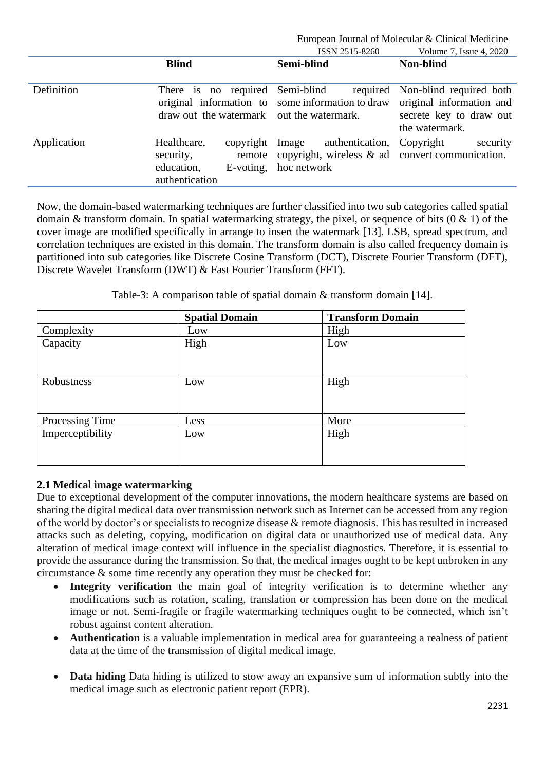|             |                                                                                    | ISSN 2515-8260                                                                                       | Volume 7, Issue 4, 2020                                                                          |
|-------------|------------------------------------------------------------------------------------|------------------------------------------------------------------------------------------------------|--------------------------------------------------------------------------------------------------|
|             | <b>Blind</b>                                                                       | Semi-blind                                                                                           | Non-blind                                                                                        |
| Definition  | There is no required Semi-blind<br>draw out the watermark out the watermark.       | required<br>original information to some information to draw                                         | Non-blind required both<br>original information and<br>secrete key to draw out<br>the watermark. |
| Application | Healthcare,<br>copyright<br>security,<br>education,<br>E-voting,<br>authentication | authentication,<br>Image<br>remote copyright, wireless $\&$ ad convert communication.<br>hoc network | Copyright<br>security                                                                            |

Now, the domain-based watermarking techniques are further classified into two sub categories called spatial domain & transform domain. In spatial watermarking strategy, the pixel, or sequence of bits  $(0 \& 1)$  of the cover image are modified specifically in arrange to insert the watermark [13]. LSB, spread spectrum, and correlation techniques are existed in this domain. The transform domain is also called frequency domain is partitioned into sub categories like Discrete Cosine Transform (DCT), Discrete Fourier Transform (DFT), Discrete Wavelet Transform (DWT) & Fast Fourier Transform (FFT).

Table-3: A comparison table of spatial domain & transform domain [14].

|                  | <b>Spatial Domain</b> | <b>Transform Domain</b> |
|------------------|-----------------------|-------------------------|
| Complexity       | Low                   | High                    |
| Capacity         | High                  | Low                     |
|                  |                       |                         |
| Robustness       | Low                   | High                    |
|                  |                       |                         |
| Processing Time  | Less                  | More                    |
| Imperceptibility | Low                   | High                    |
|                  |                       |                         |
|                  |                       |                         |

# **2.1 Medical image watermarking**

Due to exceptional development of the computer innovations, the modern healthcare systems are based on sharing the digital medical data over transmission network such as Internet can be accessed from any region of the world by doctor's or specialists to recognize disease & remote diagnosis. This has resulted in increased attacks such as deleting, copying, modification on digital data or unauthorized use of medical data. Any alteration of medical image context will influence in the specialist diagnostics. Therefore, it is essential to provide the assurance during the transmission. So that, the medical images ought to be kept unbroken in any circumstance & some time recently any operation they must be checked for:

- **Integrity verification** the main goal of integrity verification is to determine whether any modifications such as rotation, scaling, translation or compression has been done on the medical image or not. Semi-fragile or fragile watermarking techniques ought to be connected, which isn't robust against content alteration.
- **Authentication** is a valuable implementation in medical area for guaranteeing a realness of patient data at the time of the transmission of digital medical image.
- **Data hiding** Data hiding is utilized to stow away an expansive sum of information subtly into the medical image such as electronic patient report (EPR).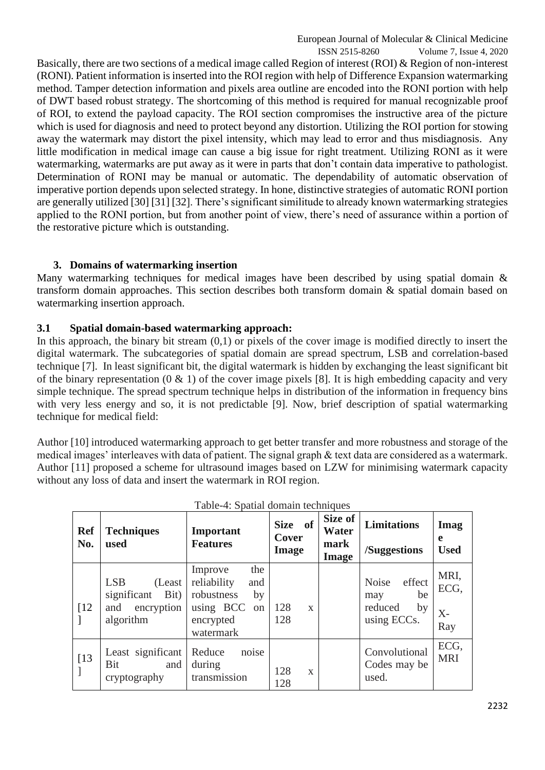ISSN 2515-8260 Volume 7, Issue 4, 2020 Basically, there are two sections of a medical image called Region of interest (ROI) & Region of non-interest (RONI). Patient information is inserted into the ROI region with help of Difference Expansion watermarking method. Tamper detection information and pixels area outline are encoded into the RONI portion with help of DWT based robust strategy. The shortcoming of this method is required for manual recognizable proof of ROI, to extend the payload capacity. The ROI section compromises the instructive area of the picture which is used for diagnosis and need to protect beyond any distortion. Utilizing the ROI portion for stowing away the watermark may distort the pixel intensity, which may lead to error and thus misdiagnosis. Any little modification in medical image can cause a big issue for right treatment. Utilizing RONI as it were watermarking, watermarks are put away as it were in parts that don't contain data imperative to pathologist. Determination of RONI may be manual or automatic. The dependability of automatic observation of imperative portion depends upon selected strategy. In hone, distinctive strategies of automatic RONI portion are generally utilized [30] [31] [32]. There's significant similitude to already known watermarking strategies applied to the RONI portion, but from another point of view, there's need of assurance within a portion of the restorative picture which is outstanding.

# **3. Domains of watermarking insertion**

Many watermarking techniques for medical images have been described by using spatial domain  $\&$ transform domain approaches. This section describes both transform domain & spatial domain based on watermarking insertion approach.

# **3.1 Spatial domain-based watermarking approach:**

In this approach, the binary bit stream (0,1) or pixels of the cover image is modified directly to insert the digital watermark. The subcategories of spatial domain are spread spectrum, LSB and correlation-based technique [7]. In least significant bit, the digital watermark is hidden by exchanging the least significant bit of the binary representation  $(0 \& 1)$  of the cover image pixels [8]. It is high embedding capacity and very simple technique. The spread spectrum technique helps in distribution of the information in frequency bins with very less energy and so, it is not predictable [9]. Now, brief description of spatial watermarking technique for medical field:

Author [10] introduced watermarking approach to get better transfer and more robustness and storage of the medical images' interleaves with data of patient. The signal graph & text data are considered as a watermark. Author [11] proposed a scheme for ultrasound images based on LZW for minimising watermark capacity without any loss of data and insert the watermark in ROI region.

| <b>Ref</b><br>No.  | <b>Techniques</b><br>used                                                      | Important<br><b>Features</b>                                                                                     | - of<br><b>Size</b><br>Cover<br><b>Image</b> | Size of<br>Water<br>mark<br><b>Image</b> | <b>Limitations</b><br>/Suggestions                                  | Imag<br>e<br><b>Used</b>    |
|--------------------|--------------------------------------------------------------------------------|------------------------------------------------------------------------------------------------------------------|----------------------------------------------|------------------------------------------|---------------------------------------------------------------------|-----------------------------|
| $\lceil 12 \rceil$ | <b>LSB</b><br>(Least)<br>significant<br>Bit)<br>encryption<br>and<br>algorithm | the<br>Improve<br>reliability<br>and<br>robustness<br>by<br>using BCC<br><sub>on</sub><br>encrypted<br>watermark | 128<br>$\mathbf{X}$<br>128                   |                                          | effect<br><b>Noise</b><br>be<br>may<br>reduced<br>by<br>using ECCs. | MRI,<br>ECG,<br>$X-$<br>Ray |
| [13]               | Least significant<br>Bit<br>and<br>cryptography                                | noise<br>Reduce<br>during<br>transmission                                                                        | 128<br>$\mathbf{X}$<br>128                   |                                          | Convolutional<br>Codes may be<br>used.                              | ECG,<br><b>MRI</b>          |

| Table-4: Spatial domain techniques |  |
|------------------------------------|--|
|------------------------------------|--|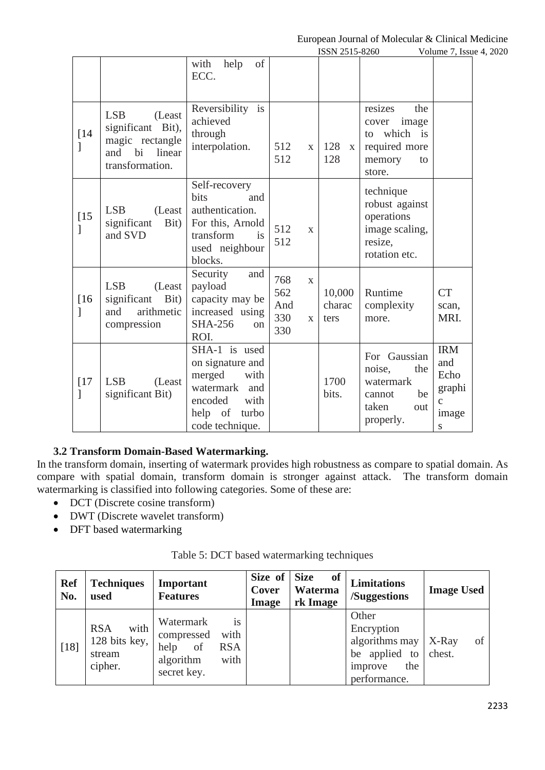|             |                                                                                                        |                                                                                                                                   |                                                                 | ISSN 2515-8260             | Laropean Journal of Molecular & Chineal Medicine                                           | Volume 7, Issue 4, 2020                                          |  |
|-------------|--------------------------------------------------------------------------------------------------------|-----------------------------------------------------------------------------------------------------------------------------------|-----------------------------------------------------------------|----------------------------|--------------------------------------------------------------------------------------------|------------------------------------------------------------------|--|
|             |                                                                                                        | of<br>with<br>help<br>ECC.                                                                                                        |                                                                 |                            |                                                                                            |                                                                  |  |
| $[14]$      | <b>LSB</b><br>(Least<br>significant Bit),<br>magic rectangle<br>and<br>bi<br>linear<br>transformation. | Reversibility is<br>achieved<br>through<br>interpolation.                                                                         | 512<br>$\mathbf{X}$<br>512                                      | 128<br>$\mathbf{X}$<br>128 | the<br>resizes<br>image<br>cover<br>to which is<br>required more<br>memory<br>to<br>store. |                                                                  |  |
| $[15]$<br>] | <b>LSB</b><br>(Least)<br>significant<br>Bit)<br>and SVD                                                | Self-recovery<br>bits<br>and<br>authentication.<br>For this, Arnold<br>transform<br>is<br>used neighbour<br>blocks.               | 512<br>$\mathbf{X}$<br>512                                      |                            | technique<br>robust against<br>operations<br>image scaling,<br>resize,<br>rotation etc.    |                                                                  |  |
| $[16]$<br>1 | <b>LSB</b><br>(Least<br>significant<br>Bit)<br>arithmetic<br>and<br>compression                        | Security<br>and<br>payload<br>capacity may be<br>increased using<br><b>SHA-256</b><br>on<br>ROI.                                  | 768<br>$\mathbf{X}$<br>562<br>And<br>330<br>$\mathbf{X}$<br>330 | 10,000<br>charac<br>ters   | Runtime<br>complexity<br>more.                                                             | <b>CT</b><br>scan,<br>MRI.                                       |  |
| $[17]$<br>1 | <b>LSB</b><br>(Least<br>significant Bit)                                                               | SHA-1 is used<br>on signature and<br>merged<br>with<br>watermark<br>and<br>encoded<br>with<br>turbo<br>help of<br>code technique. |                                                                 | 1700<br>bits.              | For Gaussian<br>noise,<br>the<br>watermark<br>be<br>cannot<br>taken<br>out<br>properly.    | <b>IRM</b><br>and<br>Echo<br>graphi<br>$\mathbf c$<br>image<br>S |  |

# **3.2 Transform Domain-Based Watermarking.**

In the transform domain, inserting of watermark provides high robustness as compare to spatial domain. As compare with spatial domain, transform domain is stronger against attack. The transform domain watermarking is classified into following categories. Some of these are:

- DCT (Discrete cosine transform)
- DWT (Discrete wavelet transform)
- DFT based watermarking

| <b>Ref</b><br>No. | <b>Techniques</b><br>used                                | Important<br><b>Features</b>                                                                          | Size of<br>Cover<br><b>Image</b> | <b>Size</b><br>of<br>Waterma<br>rk Image | <b>Limitations</b><br>/Suggestions                                                       | <b>Image Used</b>     |
|-------------------|----------------------------------------------------------|-------------------------------------------------------------------------------------------------------|----------------------------------|------------------------------------------|------------------------------------------------------------------------------------------|-----------------------|
| $[18]$            | with<br><b>RSA</b><br>128 bits key,<br>stream<br>cipher. | is<br>Watermark<br>with<br>compressed<br>help<br>of<br><b>RSA</b><br>algorithm<br>with<br>secret key. |                                  |                                          | Other<br>Encryption<br>algorithms may<br>be applied to<br>the<br>improve<br>performance. | of<br>X-Ray<br>chest. |

#### Table 5: DCT based watermarking techniques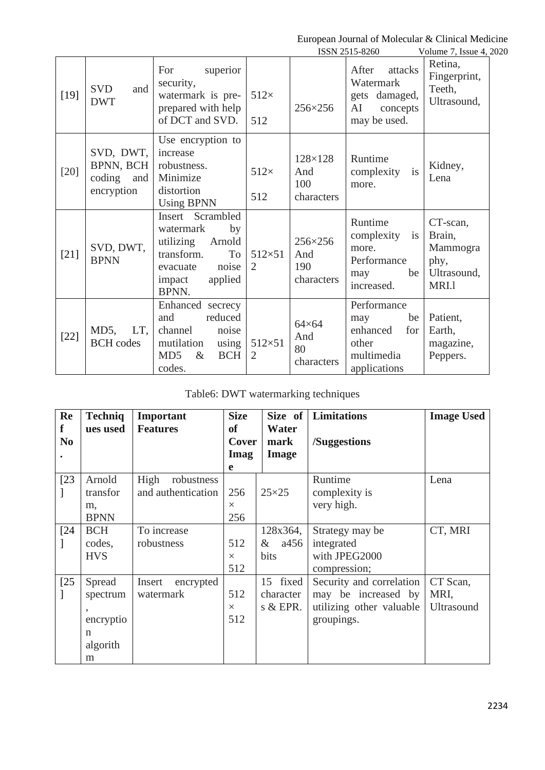|        |                                                       |                                                                                                                                   |                                 |                                         | ISSN 2515-8260                                                                     | Volume 7, Issue 4, 2020                                        |
|--------|-------------------------------------------------------|-----------------------------------------------------------------------------------------------------------------------------------|---------------------------------|-----------------------------------------|------------------------------------------------------------------------------------|----------------------------------------------------------------|
| $[19]$ | <b>SVD</b><br>and<br><b>DWT</b>                       | For<br>superior<br>security,<br>watermark is pre-<br>prepared with help<br>of DCT and SVD.                                        | $512\times$<br>512              | $256 \times 256$                        | After<br>attacks<br>Watermark<br>gets damaged,<br>AI<br>concepts<br>may be used.   | Retina,<br>Fingerprint,<br>Teeth,<br>Ultrasound,               |
| $[20]$ | SVD, DWT,<br>BPNN, BCH<br>coding<br>and<br>encryption | Use encryption to<br>increase<br>robustness.<br>Minimize<br>distortion<br><b>Using BPNN</b>                                       | $512\times$<br>512              | 128×128<br>And<br>100<br>characters     | Runtime<br>complexity<br>is<br>more.                                               | Kidney,<br>Lena                                                |
| $[21]$ | SVD, DWT,<br><b>BPNN</b>                              | Insert Scrambled<br>by<br>watermark<br>utilizing<br>Arnold<br>transform.<br>To<br>noise<br>evacuate<br>applied<br>impact<br>BPNN. | $512\times51$<br>2              | 256×256<br>And<br>190<br>characters     | Runtime<br>complexity<br>is<br>more.<br>Performance<br>be<br>may<br>increased.     | CT-scan,<br>Brain,<br>Mammogra<br>phy,<br>Ultrasound,<br>MRI.1 |
| $[22]$ | $MD5$ ,<br>LT,<br><b>BCH</b> codes                    | Enhanced secrecy<br>reduced<br>and<br>channel<br>noise<br>mutilation<br>using<br>MD <sub>5</sub><br>$\&$<br><b>BCH</b><br>codes.  | $512\times51$<br>$\overline{2}$ | $64\times64$<br>And<br>80<br>characters | Performance<br>be<br>may<br>enhanced<br>for<br>other<br>multimedia<br>applications | Patient,<br>Earth,<br>magazine,<br>Peppers.                    |

# Table6: DWT watermarking techniques

| Re<br>f        | <b>Techniq</b><br>ues used                            | Important<br><b>Features</b>             | <b>Size</b><br><b>of</b> | Water                                  | Size of Limitations                                                                       | <b>Image Used</b>              |
|----------------|-------------------------------------------------------|------------------------------------------|--------------------------|----------------------------------------|-------------------------------------------------------------------------------------------|--------------------------------|
| N <sub>0</sub> |                                                       |                                          | Cover<br>Imag<br>e       | mark<br><b>Image</b>                   | /Suggestions                                                                              |                                |
| $[23]$         | Arnold<br>transfor<br>m,<br><b>BPNN</b>               | High<br>robustness<br>and authentication | 256<br>$\times$<br>256   | $25\times25$                           | Runtime<br>complexity is<br>very high.                                                    | Lena                           |
| $[24]$         | <b>BCH</b><br>codes,<br><b>HVS</b>                    | To increase<br>robustness                | 512<br>$\times$<br>512   | 128x364,<br>a456<br>$\&$<br>bits       | Strategy may be<br>integrated<br>with JPEG2000<br>compression;                            | CT, MRI                        |
| $[25$          | Spread<br>spectrum<br>encryptio<br>n<br>algorith<br>m | Insert<br>encrypted<br>watermark         | 512<br>$\times$<br>512   | fixed<br>15<br>character<br>s $&$ EPR. | Security and correlation<br>may be increased by<br>utilizing other valuable<br>groupings. | CT Scan,<br>MRI,<br>Ultrasound |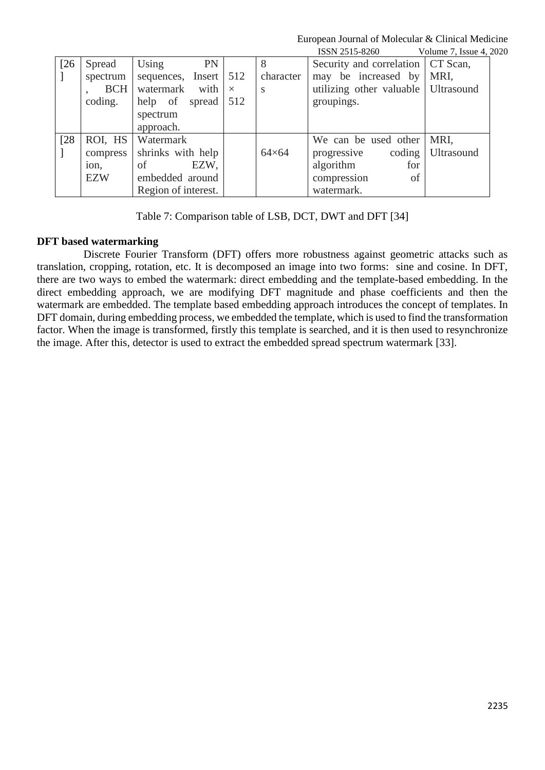|      |            |                               |          |              | ISSN 2515-8260                        | Volume 7, Issue 4, 2020 |
|------|------------|-------------------------------|----------|--------------|---------------------------------------|-------------------------|
| [26] | Spread     | Using<br>PN                   |          | 8            | Security and correlation   CT Scan,   |                         |
|      | spectrum   | sequences, Insert $\vert$ 512 |          | character    | may be increased by                   | MRI,                    |
|      | <b>BCH</b> | watermark with                | $\times$ | S            | utilizing other valuable   Ultrasound |                         |
|      | coding.    | help of spread                | 512      |              | groupings.                            |                         |
|      |            | spectrum                      |          |              |                                       |                         |
|      |            | approach.                     |          |              |                                       |                         |
| [28] | ROI, HS    | Watermark                     |          |              | We can be used other                  | MRI.                    |
|      | compress   | shrinks with help             |          | $64\times64$ | progressive                           | coding Ultrasound       |
|      | ion.       | EZW,<br>of                    |          |              | algorithm<br>for                      |                         |
|      | <b>EZW</b> | embedded around               |          |              | compression<br>of                     |                         |
|      |            | Region of interest.           |          |              | watermark.                            |                         |

Table 7: Comparison table of LSB, DCT, DWT and DFT [34]

## **DFT based watermarking**

 Discrete Fourier Transform (DFT) offers more robustness against geometric attacks such as translation, cropping, rotation, etc. It is decomposed an image into two forms: sine and cosine. In DFT, there are two ways to embed the watermark: direct embedding and the template-based embedding. In the direct embedding approach, we are modifying DFT magnitude and phase coefficients and then the watermark are embedded. The template based embedding approach introduces the concept of templates. In DFT domain, during embedding process, we embedded the template, which is used to find the transformation factor. When the image is transformed, firstly this template is searched, and it is then used to resynchronize the image. After this, detector is used to extract the embedded spread spectrum watermark [33].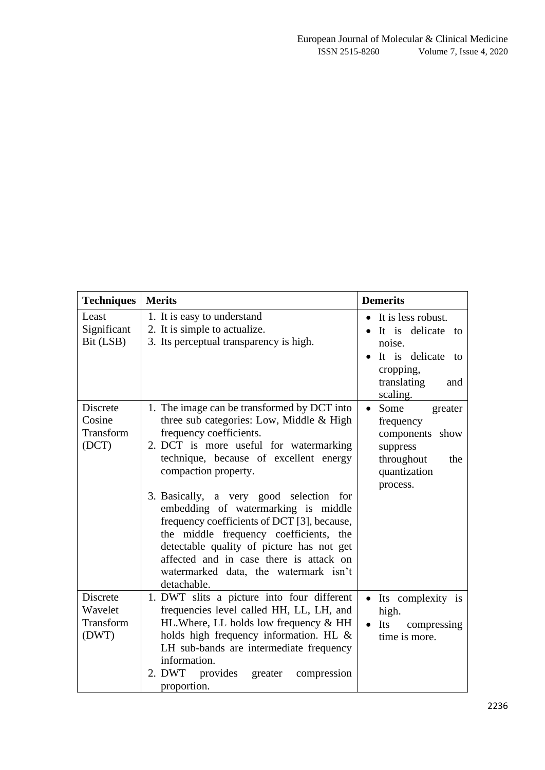| <b>Techniques</b>                         | <b>Merits</b>                                                                                                                                                                                                                                                                                                                                                                                                                                                                                                                                             | <b>Demerits</b>                                                                                                           |
|-------------------------------------------|-----------------------------------------------------------------------------------------------------------------------------------------------------------------------------------------------------------------------------------------------------------------------------------------------------------------------------------------------------------------------------------------------------------------------------------------------------------------------------------------------------------------------------------------------------------|---------------------------------------------------------------------------------------------------------------------------|
| Least<br>Significant<br>Bit (LSB)         | 1. It is easy to understand<br>2. It is simple to actualize.<br>3. Its perceptual transparency is high.                                                                                                                                                                                                                                                                                                                                                                                                                                                   | It is less robust.<br>It is delicate to<br>noise.<br>It is delicate to<br>cropping,                                       |
|                                           |                                                                                                                                                                                                                                                                                                                                                                                                                                                                                                                                                           | translating<br>and<br>scaling.                                                                                            |
| Discrete<br>Cosine<br>Transform<br>(DCT)  | 1. The image can be transformed by DCT into<br>three sub categories: Low, Middle & High<br>frequency coefficients.<br>2. DCT is more useful for watermarking<br>technique, because of excellent energy<br>compaction property.<br>3. Basically, a very good selection for<br>embedding of watermarking is middle<br>frequency coefficients of DCT [3], because,<br>the middle frequency coefficients, the<br>detectable quality of picture has not get<br>affected and in case there is attack on<br>watermarked data, the watermark isn't<br>detachable. | Some<br>greater<br>$\bullet$<br>frequency<br>components show<br>suppress<br>throughout<br>the<br>quantization<br>process. |
| Discrete<br>Wavelet<br>Transform<br>(DWT) | 1. DWT slits a picture into four different<br>frequencies level called HH, LL, LH, and<br>HL. Where, LL holds low frequency & HH<br>holds high frequency information. HL &<br>LH sub-bands are intermediate frequency<br>information.<br>2. DWT<br>provides<br>greater<br>compression<br>proportion.                                                                                                                                                                                                                                                      | Its complexity is<br>$\bullet$<br>high.<br>Its<br>compressing<br>$\bullet$<br>time is more.                               |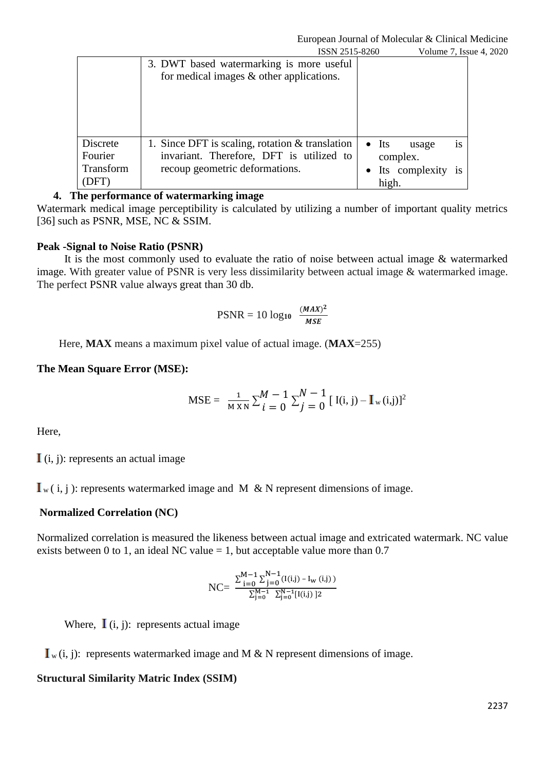|                     | ISSN 2515-8260                                                                                | Volume 7, Issue 4, 2020                           |  |
|---------------------|-----------------------------------------------------------------------------------------------|---------------------------------------------------|--|
|                     | 3. DWT based watermarking is more useful<br>for medical images $&$ other applications.        |                                                   |  |
| Discrete<br>Fourier | 1. Since DFT is scaling, rotation $&$ translation<br>invariant. Therefore, DFT is utilized to | $\bullet$ Its<br>1S<br>usage<br>complex.          |  |
| Transform<br>(DFT)  | recoup geometric deformations.                                                                | Its complexity<br>$\bullet$<br><b>1S</b><br>high. |  |

## **4. The performance of watermarking image**

Watermark medical image perceptibility is calculated by utilizing a number of important quality metrics [36] such as PSNR, MSE, NC & SSIM.

#### **Peak -Signal to Noise Ratio (PSNR)**

 It is the most commonly used to evaluate the ratio of noise between actual image & watermarked image. With greater value of PSNR is very less dissimilarity between actual image & watermarked image. The perfect PSNR value always great than 30 db.

$$
PSNR = 10 \log_{10} \frac{(MAX)^2}{MSE}
$$

Here, **MAX** means a maximum pixel value of actual image. (**MAX**=255)

#### **The Mean Square Error (MSE):**

$$
\text{MSE} = \frac{1}{M \times N} \sum_{i=0}^{M} \sum_{j=0}^{N} \left[ \text{ I(i, j)} - \text{I}_{w} \text{ (i, j)} \right]^{2}
$$

Here,

 $(i, j)$ : represents an actual image

 $I_{w}(i, j)$ : represents watermarked image and M & N represent dimensions of image.

#### **Normalized Correlation (NC)**

Normalized correlation is measured the likeness between actual image and extricated watermark. NC value exists between 0 to 1, an ideal NC value  $= 1$ , but acceptable value more than 0.7

$$
\text{NC}\text{=}\ \frac{\sum_{\text{j=0}}^{\text{M}-1}\sum_{\text{j=0}}^{\text{N}-1}(\text{I(i,j)}-\text{I}_{\text{w (i,j)}})}{\sum_{\text{j=0}}^{\text{M}-1}\sum_{\text{j=0}}^{\text{N}-1}[\text{I(i,j)}\ ]^2}
$$

Where,  $\mathbf{I}$  (i, j): represents actual image

 $I_{w}(i, j)$ : represents watermarked image and M & N represent dimensions of image.

#### **Structural Similarity Matric Index (SSIM)**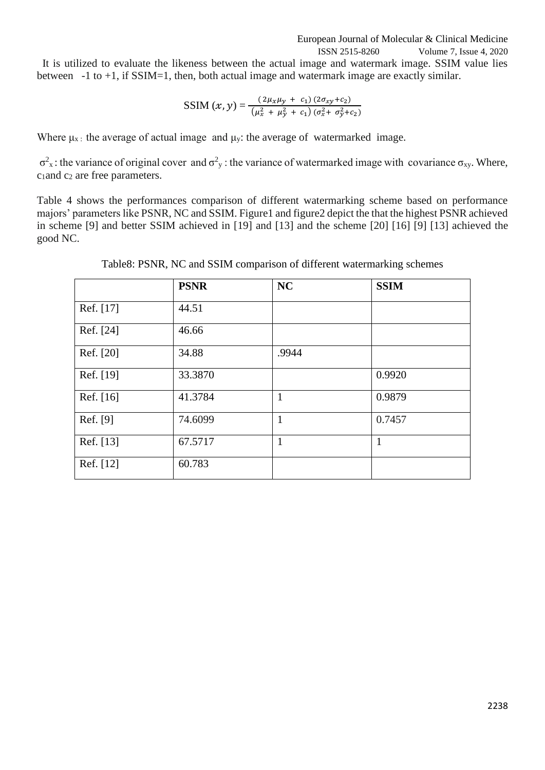ISSN 2515-8260 Volume 7, Issue 4, 2020

 It is utilized to evaluate the likeness between the actual image and watermark image. SSIM value lies between  $-1$  to  $+1$ , if SSIM=1, then, both actual image and watermark image are exactly similar.

$$
SSIM(x, y) = \frac{(2\mu_x\mu_y + c_1)(2\sigma_{xy}+c_2)}{(\mu_x^2 + \mu_y^2 + c_1)(\sigma_x^2 + \sigma_y^2+c_2)}
$$

Where  $\mu_{x}$ : the average of actual image and  $\mu_{y}$ : the average of watermarked image.

 $\sigma^2$ <sub>x</sub>: the variance of original cover and  $\sigma^2$ <sub>y</sub>: the variance of watermarked image with covariance σ<sub>xy</sub>. Where,  $c_1$ and  $c_2$  are free parameters.

Table 4 shows the performances comparison of different watermarking scheme based on performance majors' parameters like PSNR, NC and SSIM. Figure1 and figure2 depict the that the highest PSNR achieved in scheme [9] and better SSIM achieved in [19] and [13] and the scheme [20] [16] [9] [13] achieved the good NC.

|           | <b>PSNR</b> | <b>NC</b> | <b>SSIM</b>  |
|-----------|-------------|-----------|--------------|
| Ref. [17] | 44.51       |           |              |
| Ref. [24] | 46.66       |           |              |
| Ref. [20] | 34.88       | .9944     |              |
| Ref. [19] | 33.3870     |           | 0.9920       |
| Ref. [16] | 41.3784     | 1         | 0.9879       |
| Ref. [9]  | 74.6099     | 1         | 0.7457       |
| Ref. [13] | 67.5717     | 1         | $\mathbf{1}$ |
| Ref. [12] | 60.783      |           |              |

Table8: PSNR, NC and SSIM comparison of different watermarking schemes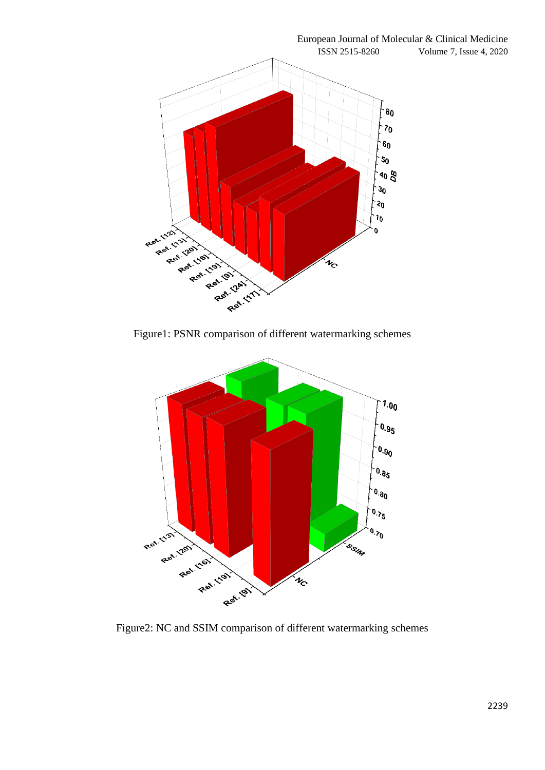

Figure1: PSNR comparison of different watermarking schemes



Figure2: NC and SSIM comparison of different watermarking schemes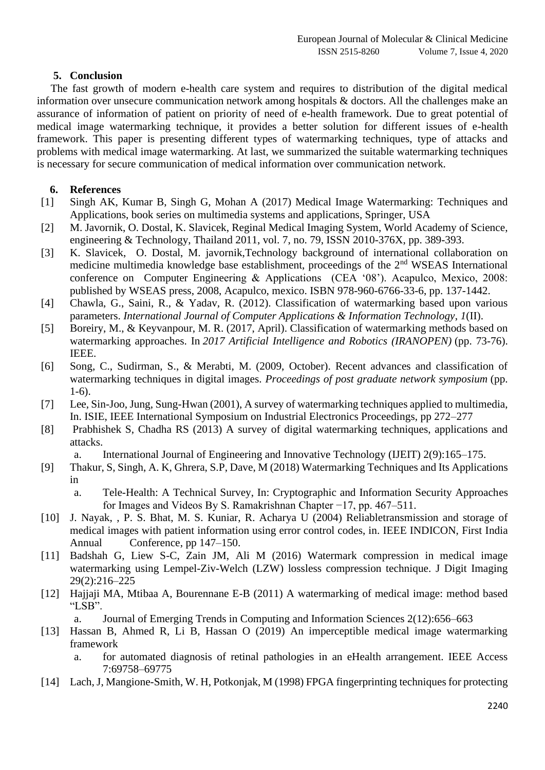## **5. Conclusion**

 The fast growth of modern e-health care system and requires to distribution of the digital medical information over unsecure communication network among hospitals & doctors. All the challenges make an assurance of information of patient on priority of need of e-health framework. Due to great potential of medical image watermarking technique, it provides a better solution for different issues of e-health framework. This paper is presenting different types of watermarking techniques, type of attacks and problems with medical image watermarking. At last, we summarized the suitable watermarking techniques is necessary for secure communication of medical information over communication network.

## **6. References**

- [1] Singh AK, Kumar B, Singh G, Mohan A (2017) Medical Image Watermarking: Techniques and Applications, book series on multimedia systems and applications, Springer, USA
- [2] M. Javornik, O. Dostal, K. Slavicek, Reginal Medical Imaging System, World Academy of Science, engineering & Technology, Thailand 2011, vol. 7, no. 79, ISSN 2010-376X, pp. 389-393.
- [3] K. Slavicek, O. Dostal, M. javornik,Technology background of international collaboration on medicine multimedia knowledge base establishment, proceedings of the 2<sup>nd</sup> WSEAS International conference on Computer Engineering & Applications (CEA '08'). Acapulco, Mexico, 2008: published by WSEAS press, 2008, Acapulco, mexico. ISBN 978-960-6766-33-6, pp. 137-1442.
- [4] Chawla, G., Saini, R., & Yadav, R. (2012). Classification of watermarking based upon various parameters. *International Journal of Computer Applications & Information Technology*, *1*(II).
- [5] Boreiry, M., & Keyvanpour, M. R. (2017, April). Classification of watermarking methods based on watermarking approaches. In *2017 Artificial Intelligence and Robotics (IRANOPEN)* (pp. 73-76). IEEE.
- [6] Song, C., Sudirman, S., & Merabti, M. (2009, October). Recent advances and classification of watermarking techniques in digital images. *Proceedings of post graduate network symposium* (pp. 1-6).
- [7] Lee, Sin-Joo, Jung, Sung-Hwan (2001), A survey of watermarking techniques applied to multimedia, In. ISIE, IEEE International Symposium on Industrial Electronics Proceedings, pp 272–277
- [8] Prabhishek S, Chadha RS (2013) A survey of digital watermarking techniques, applications and attacks.

a. International Journal of Engineering and Innovative Technology (IJEIT) 2(9):165–175.

- [9] Thakur, S, Singh, A. K, Ghrera, S.P, Dave, M (2018) Watermarking Techniques and Its Applications in
	- a. Tele-Health: A Technical Survey, In: Cryptographic and Information Security Approaches for Images and Videos By S. Ramakrishnan Chapter −17, pp. 467–511.
- [10] J. Nayak, , P. S. Bhat, M. S. Kuniar, R. Acharya U (2004) Reliabletransmission and storage of medical images with patient information using error control codes, in. IEEE INDICON, First India Annual Conference, pp 147–150.
- [11] Badshah G, Liew S-C, Zain JM, Ali M (2016) Watermark compression in medical image watermarking using Lempel-Ziv-Welch (LZW) lossless compression technique. J Digit Imaging 29(2):216–225
- [12] Hajjaji MA, Mtibaa A, Bourennane E-B (2011) A watermarking of medical image: method based "LSB".
	- a. Journal of Emerging Trends in Computing and Information Sciences 2(12):656–663
- [13] Hassan B, Ahmed R, Li B, Hassan O (2019) An imperceptible medical image watermarking framework
	- a. for automated diagnosis of retinal pathologies in an eHealth arrangement. IEEE Access 7:69758–69775
- [14] Lach, J, Mangione-Smith, W. H, Potkonjak, M (1998) FPGA fingerprinting techniques for protecting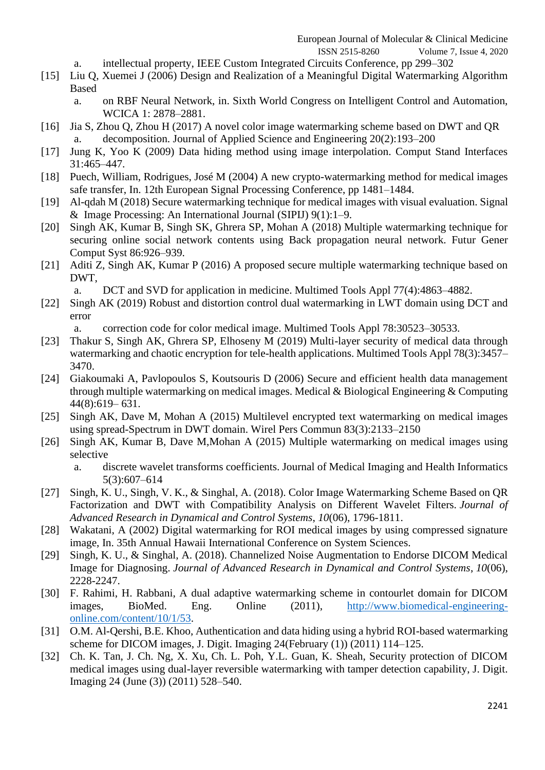- ISSN 2515-8260 Volume 7, Issue 4, 2020
- a. intellectual property, IEEE Custom Integrated Circuits Conference, pp 299–302
- [15] Liu Q, Xuemei J (2006) Design and Realization of a Meaningful Digital Watermarking Algorithm Based
	- a. on RBF Neural Network, in. Sixth World Congress on Intelligent Control and Automation, WCICA 1: 2878–2881.
- [16] Jia S, Zhou Q, Zhou H (2017) A novel color image watermarking scheme based on DWT and QR decomposition. Journal of Applied Science and Engineering 20(2):193–200
- [17] Jung K, Yoo K (2009) Data hiding method using image interpolation. Comput Stand Interfaces 31:465–447.
- [18] Puech, William, Rodrigues, José M (2004) A new crypto-watermarking method for medical images safe transfer, In. 12th European Signal Processing Conference, pp 1481–1484.
- [19] Al-qdah M (2018) Secure watermarking technique for medical images with visual evaluation. Signal & Image Processing: An International Journal (SIPIJ) 9(1):1–9.
- [20] Singh AK, Kumar B, Singh SK, Ghrera SP, Mohan A (2018) Multiple watermarking technique for securing online social network contents using Back propagation neural network. Futur Gener Comput Syst 86:926–939.
- [21] Aditi Z, Singh AK, Kumar P (2016) A proposed secure multiple watermarking technique based on DWT,
	- a. DCT and SVD for application in medicine. Multimed Tools Appl 77(4):4863–4882.
- [22] Singh AK (2019) Robust and distortion control dual watermarking in LWT domain using DCT and error
	- a. correction code for color medical image. Multimed Tools Appl 78:30523–30533.
- [23] Thakur S, Singh AK, Ghrera SP, Elhoseny M (2019) Multi-layer security of medical data through watermarking and chaotic encryption for tele-health applications. Multimed Tools Appl 78(3):3457– 3470.
- [24] Giakoumaki A, Pavlopoulos S, Koutsouris D (2006) Secure and efficient health data management through multiple watermarking on medical images. Medical & Biological Engineering & Computing 44(8):619– 631.
- [25] Singh AK, Dave M, Mohan A (2015) Multilevel encrypted text watermarking on medical images using spread-Spectrum in DWT domain. Wirel Pers Commun 83(3):2133–2150
- [26] Singh AK, Kumar B, Dave M,Mohan A (2015) Multiple watermarking on medical images using selective
	- a. discrete wavelet transforms coefficients. Journal of Medical Imaging and Health Informatics 5(3):607–614
- [27] Singh, K. U., Singh, V. K., & Singhal, A. (2018). Color Image Watermarking Scheme Based on QR Factorization and DWT with Compatibility Analysis on Different Wavelet Filters. *Journal of Advanced Research in Dynamical and Control Systems*, *10*(06), 1796-1811.
- [28] Wakatani, A (2002) Digital watermarking for ROI medical images by using compressed signature image, In. 35th Annual Hawaii International Conference on System Sciences.
- [29] Singh, K. U., & Singhal, A. (2018). Channelized Noise Augmentation to Endorse DICOM Medical Image for Diagnosing. *Journal of Advanced Research in Dynamical and Control Systems*, *10*(06), 2228-2247.
- [30] F. Rahimi, H. Rabbani, A dual adaptive watermarking scheme in contourlet domain for DICOM images, BioMed. Eng. Online (2011), [http://www.biomedical-engineering](http://www.biomedical-engineering-online.com/content/10/1/53)[online.com/content/10/1/53.](http://www.biomedical-engineering-online.com/content/10/1/53)
- [31] O.M. Al-Qershi, B.E. Khoo, Authentication and data hiding using a hybrid ROI-based watermarking scheme for DICOM images, J. Digit. Imaging 24(February (1)) (2011) 114–125.
- [32] Ch. K. Tan, J. Ch. Ng, X. Xu, Ch. L. Poh, Y.L. Guan, K. Sheah, Security protection of DICOM medical images using dual-layer reversible watermarking with tamper detection capability, J. Digit. Imaging 24 (June (3)) (2011) 528–540.